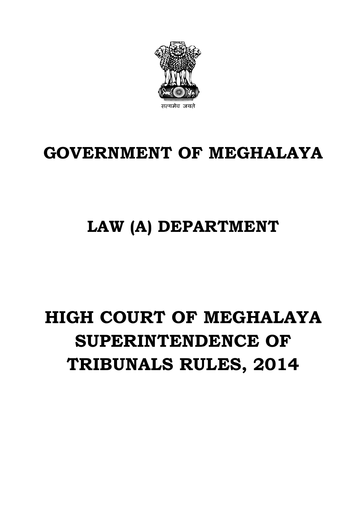# **GOVERNMENT OF MEGHALAYA**

### **LAW (A) DEPARTMENT**

## **HIGH COURT OF MEGHALAYA SUPERINTENDENCE OF TRIBUNALS RULES, 2014**

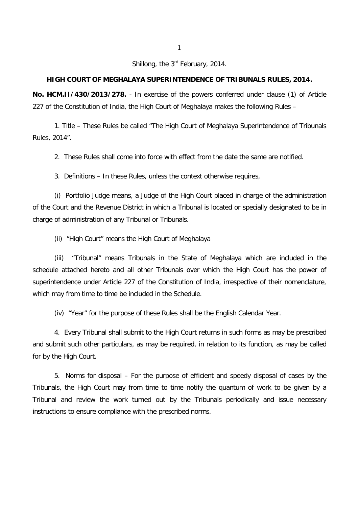Shillong, the 3<sup>rd</sup> February, 2014.

#### **HIGH COURT OF MEGHALAYA SUPERINTENDENCE OF TRIBUNALS RULES, 2014.**

**No. HCM.II/430/2013/278.** - In exercise of the powers conferred under clause (1) of Article 227 of the Constitution of India, the High Court of Meghalaya makes the following Rules –

1. Title – These Rules be called "The High Court of Meghalaya Superintendence of Tribunals Rules, 2014".

2. These Rules shall come into force with effect from the date the same are notified.

3. Definitions – In these Rules, unless the context otherwise requires,

(i) Portfolio Judge means, a Judge of the High Court placed in charge of the administration of the Court and the Revenue District in which a Tribunal is located or specially designated to be in charge of administration of any Tribunal or Tribunals.

(ii) "High Court" means the High Court of Meghalaya

(iii) "Tribunal" means Tribunals in the State of Meghalaya which are included in the schedule attached hereto and all other Tribunals over which the High Court has the power of superintendence under Article 227 of the Constitution of India, irrespective of their nomenclature, which may from time to time be included in the Schedule.

(iv) "Year" for the purpose of these Rules shall be the English Calendar Year.

4. Every Tribunal shall submit to the High Court returns in such forms as may be prescribed and submit such other particulars, as may be required, in relation to its function, as may be called for by the High Court.

5. Norms for disposal – For the purpose of efficient and speedy disposal of cases by the Tribunals, the High Court may from time to time notify the quantum of work to be given by a Tribunal and review the work turned out by the Tribunals periodically and issue necessary instructions to ensure compliance with the prescribed norms.